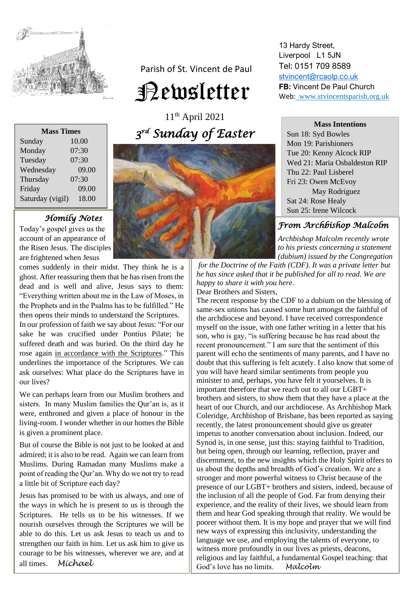

Parish of St. Vincent de Paul

# Newsletter

11th April 2021 *3 rd Sunday of Easter* 

| <b>Mass Times</b> |       |
|-------------------|-------|
| Sunday            | 10.00 |
| Monday            | 07:30 |
| Tuesday           | 07:30 |
| Wednesday         | 09.00 |
| Thursday          | 07:30 |
| Friday            | 09.00 |
| Saturday (vigil)  | 18.00 |
|                   |       |

# *Homily Notes*

Today's gospel gives us the account of an appearance of the Risen Jesus. The disciples are frightened when Jesus

comes suddenly in their midst. They think he is a ghost. After reassuring them that he has risen from the dead and is well and alive, Jesus says to them: "Everything written about me in the Law of Moses, in the Prophets and in the Psalms has to be fulfilled." He then opens their minds to understand the Scriptures.

In our profession of faith we say about Jesus: "For our sake he was crucified under Pontius Pilate; he suffered death and was buried. On the third day he rose again in accordance with the Scriptures." This underlines the importance of the Scriptures. We can ask ourselves: What place do the Scriptures have in our lives?

We can perhaps learn from our Muslim brothers and sisters. In many Muslim families the Qur'an is, as it were, enthroned and given a place of honour in the living-room. I wonder whether in our homes the Bible is given a prominent place.

But of course the Bible is not just to be looked at and admired; it is also to be read. Again we can learn from Muslims. During Ramadan many Muslims make a point of reading the Qur'an. Why do we not try to read a little bit of Scripture each day?

Jesus has promised to be with us always, and one of the ways in which he is present to us is through the Scriptures. He tells us to be his witnesses. If we nourish ourselves through the Scriptures we will be able to do this. Let us ask Jesus to teach us and to strengthen our faith in him. Let us ask him to give us courage to be his witnesses, wherever we are, and at all times. *Michael*



13 Hardy Street, Liverpool L1 5JN Tel: 0151 709 8589 [stvincent@rcaolp.co.uk](mailto:stvincent@rcaolp.co.uk) **FB:** Vincent De Paul Church Web: www.stvincentsparish.org.uk

**Mass Intentions**

Sun 18: Syd Bowles Mon 19: Parishioners Tue 20: Kenny Alcock RIP Wed 21: Maria Osbaldeston RIP Thu 22: Paul Lisberel Fri 23: Owen McEvoy May Rodriguez Sat 24: Rose Healy Sun 25: Irene Wilcock

# *From Archbishop Malcolm*

 *Archbishop Malcolm recently wrote to his priests concerning a statement (dubium) issued by the Congregation*

*for the Doctrine of the Faith (CDF). It was a private letter but he has since asked that it be published for all to read. We are happy to share it with you here.*  Dear Brothers and Sisters,

The recent response by the CDF to a dubium on the blessing of same-sex unions has caused some hurt amongst the faithful of the archdiocese and beyond. I have received correspondence myself on the issue, with one father writing in a letter that his son, who is gay, "is suffering because he has read about the recent pronouncement." I am sure that the sentiment of this parent will echo the sentiments of many parents, and I have no doubt that this suffering is felt acutely. I also know that some of you will have heard similar sentiments from people you minister to and, perhaps, you have felt it yourselves. It is important therefore that we reach out to all our LGBT+ brothers and sisters, to show them that they have a place at the heart of our Church, and our archdiocese. As Archbishop Mark Coleridge, Archbishop of Brisbane, has been reported as saying recently, the latest pronouncement should give us greater impetus to another conversation about inclusion. Indeed, our Synod is, in one sense, just this: staying faithful to Tradition, but being open, through our learning, reflection, prayer and discernment, to the new insights which the Holy Spirit offers to us about the depths and breadth of God's creation. We are a stronger and more powerful witness to Christ because of the presence of our LGBT+ brothers and sisters, indeed, because of the inclusion of all the people of God. Far from denying their experience, and the reality of their lives, we should learn from them and hear God speaking through that reality. We would be poorer without them. It is my hope and prayer that we will find new ways of expressing this inclusivity, understanding the language we use, and employing the talents of everyone, to witness more profoundly in our lives as priests, deacons, religious and lay faithful, a fundamental Gospel teaching: that God's love has no limits. *Malcolm*